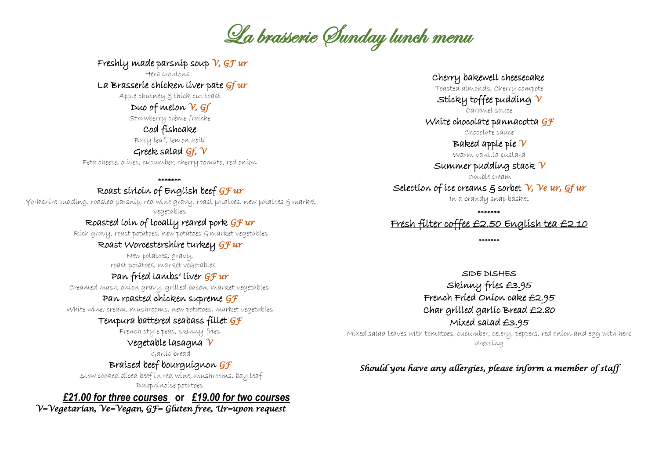La brasserie Sunday lunch menu

Freshly made parsnip soup *V, GF ur*

Herb croutons La Brasserie chicken liver pate *Gf ur* 

Apple chutney & thick cut toast

Duo of melon *V, Gf*

Strawberry crème fraiche

Cod fishcake

Baby leaf, lemon aoili

Greek salad *Gf, V*

Feta cheese, olives, cucumber, cherry tomato, red onion

\*\*\*\*\*\*\*

## Roast sirloin of English beef *GF ur*

Yorkshire pudding, roasted parsnip, red wine gravy, roast potatoes, new potatoes & market vegetables

## Roasted loin of locally reared pork *GF ur*

Rich gravy, roast potatoes, new potatoes & market vegetables

### Roast Worcestershire turkey *GF ur*

 New potatoes, gravy, roast potatoes, market vegetables

### Pan fried lambs' liver *GF ur*

Creamed mash, onion gravy, grilled bacon, market vegetables

### Pan roasted chicken supreme *GF*

White wine, cream, mushrooms, new potatoes, market vegetables

### Tempura battered seabass fillet *GF*

French style peas, skinny fries

## Vegetable lasagna *V*

Garlic bread

## Braised beef bourguignon *GF*

Slow cooked diced beef in red wine, mushrooms, bay leaf Dauphinoise potatoes

*£21.00 for three courses* **or** *£19.00 for two courses*

 *V=Vegetarian, Ve=Vegan, GF= Gluten free, Ur=upon request* 

Cherry bakewell cheesecake

Toasted almonds, Cherry compote

Sticky toffee pudding *V* Caramel sauce

White chocolate pannacotta *GF*

Chocolate sauce

Baked apple pie *V*

Warm vanilla custard

### Summer pudding stack *V*

Double cream

Selection of ice creams & sorbet *V, Ve ur, Gf ur*

In a brandy snap basket

\*\*\*\*\*\*\*

## Fresh filter coffee £2.50 English tea £2.10

\*\*\*\*\*\*\*

SIDE DISHES Skinny fries £3.95 French Fried Onion cake £2.95 Char grilled garlic Bread £2.80 Mixed salad £3.95

Mixed salad leaves with tomatoes, cucumber, celery, peppers, red onion and egg with herb dressing

*Should you have any allergies, please inform a member of staff*